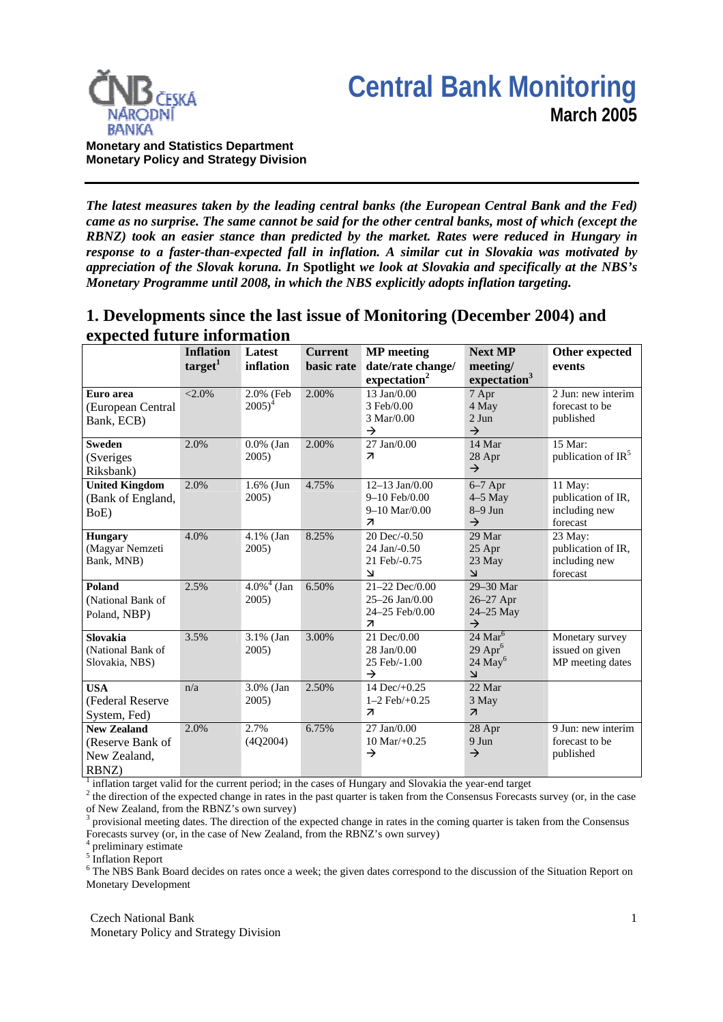



**Monetary and Statistics Department Monetary Policy and Strategy Division**

*The latest measures taken by the leading central banks (the European Central Bank and the Fed) came as no surprise. The same cannot be said for the other central banks, most of which (except the RBNZ) took an easier stance than predicted by the market. Rates were reduced in Hungary in response to a faster-than-expected fall in inflation. A similar cut in Slovakia was motivated by appreciation of the Slovak koruna. In* **Spotlight** *we look at Slovakia and specifically at the NBS's Monetary Programme until 2008, in which the NBS explicitly adopts inflation targeting.* 

# **1. Developments since the last issue of Monitoring (December 2004) and expected future information**

|                                                                 | <b>Inflation</b><br>target <sup>1</sup> | Latest<br>inflation                | <b>Current</b><br>basic rate | <b>MP</b> meeting<br>date/rate change/<br>expectation <sup>2</sup>                    | <b>Next MP</b><br>meeting/<br>expectation <sup>3</sup>                       | Other expected<br>events                                   |
|-----------------------------------------------------------------|-----------------------------------------|------------------------------------|------------------------------|---------------------------------------------------------------------------------------|------------------------------------------------------------------------------|------------------------------------------------------------|
| Euro area<br>(European Central<br>Bank, ECB)                    | $< 2.0\%$                               | 2.0% (Feb<br>$2005)^4$             | 2.00%                        | 13 Jan/0.00<br>3 Feb/0.00<br>3 Mar/0.00<br>$\rightarrow$                              | 7 Apr<br>4 May<br>$2$ Jun<br>$\rightarrow$                                   | 2 Jun: new interim<br>forecast to be<br>published          |
| <b>Sweden</b><br>(Sveriges<br>Riksbank)                         | 2.0%                                    | $0.0\%$ (Jan<br>2005)              | 2.00%                        | 27 Jan/0.00<br>$\overline{\mathbf{z}}$                                                | 14 Mar<br>28 Apr<br>$\rightarrow$                                            | 15 Mar:<br>publication of $IR5$                            |
| <b>United Kingdom</b><br>(Bank of England,<br>BoE)              | 2.0%                                    | $1.6\%$ (Jun<br>2005)              | 4.75%                        | $12-13$ Jan $/0.00$<br>9-10 Feb/0.00<br>$9-10$ Mar/0.00<br>$\overline{\mathcal{A}}$   | $6-7$ Apr<br>$4-5$ May<br>$8-9$ Jun<br>$\rightarrow$                         | 11 May:<br>publication of IR,<br>including new<br>forecast |
| <b>Hungary</b><br>(Magyar Nemzeti<br>Bank, MNB)                 | 4.0%                                    | 4.1% (Jan<br>2005)                 | 8.25%                        | 20 Dec/-0.50<br>24 Jan/-0.50<br>21 Feb/-0.75<br>$\overline{\mathbf{v}}$               | 29 Mar<br>25 Apr<br>23 May<br>$\overline{\mathbf{r}}$                        | 23 May:<br>publication of IR,<br>including new<br>forecast |
| Poland<br>(National Bank of<br>Poland, NBP)                     | 2.5%                                    | $4.0\%$ <sup>4</sup> (Jan<br>2005) | 6.50%                        | 21-22 Dec/0.00<br>$25 - 26$ Jan $/0.00$<br>24-25 Feb/0.00<br>$\overline{\mathcal{L}}$ | 29-30 Mar<br>26-27 Apr<br>24-25 May<br>$\rightarrow$                         |                                                            |
| <b>Slovakia</b><br>(National Bank of<br>Slovakia, NBS)          | 3.5%                                    | 3.1% (Jan<br>2005)                 | 3.00%                        | 21 Dec/0.00<br>28 Jan/0.00<br>25 Feb/-1.00<br>$\rightarrow$                           | 24 Mar $\overline{6}$<br>$29$ Apr <sup>6</sup><br>$24$ May <sup>6</sup><br>7 | Monetary survey<br>issued on given<br>MP meeting dates     |
| <b>USA</b><br>(Federal Reserve<br>System, Fed)                  | n/a                                     | 3.0% (Jan<br>2005)                 | 2.50%                        | 14 Dec/ $+0.25$<br>$1-2$ Feb $/+0.25$<br>$\overline{\phantom{a}}$                     | 22 Mar<br>3 May<br>$\overline{\mathcal{A}}$                                  |                                                            |
| <b>New Zealand</b><br>(Reserve Bank of<br>New Zealand,<br>RBNZ) | 2.0%                                    | 2.7%<br>(4Q2004)                   | 6.75%                        | $27$ Jan $/0.00$<br>$10 \text{ Mar}/+0.25$<br>$\rightarrow$                           | 28 Apr<br>9 Jun<br>$\rightarrow$                                             | 9 Jun: new interim<br>forecast to be<br>published          |

<sup>1</sup> inflation target valid for the current period; in the cases of Hungary and Slovakia the year-end target  $\frac{2}{3}$  the direction of the granated change in rates in the pest quarter is taken from the Consensus Forecast.

<sup>2</sup> the direction of the expected change in rates in the past quarter is taken from the Consensus Forecasts survey (or, in the case of New Zealand, from the RBNZ's own survey)

3 provisional meeting dates. The direction of the expected change in rates in the coming quarter is taken from the Consensus Forecasts survey (or, in the case of New Zealand, from the RBNZ's own survey)

4 preliminary estimate

<sup>5</sup> Inflation Report

<sup>6</sup> The NBS Bank Board decides on rates once a week; the given dates correspond to the discussion of the Situation Report on Monetary Development

Czech National Bank Monetary Policy and Strategy Division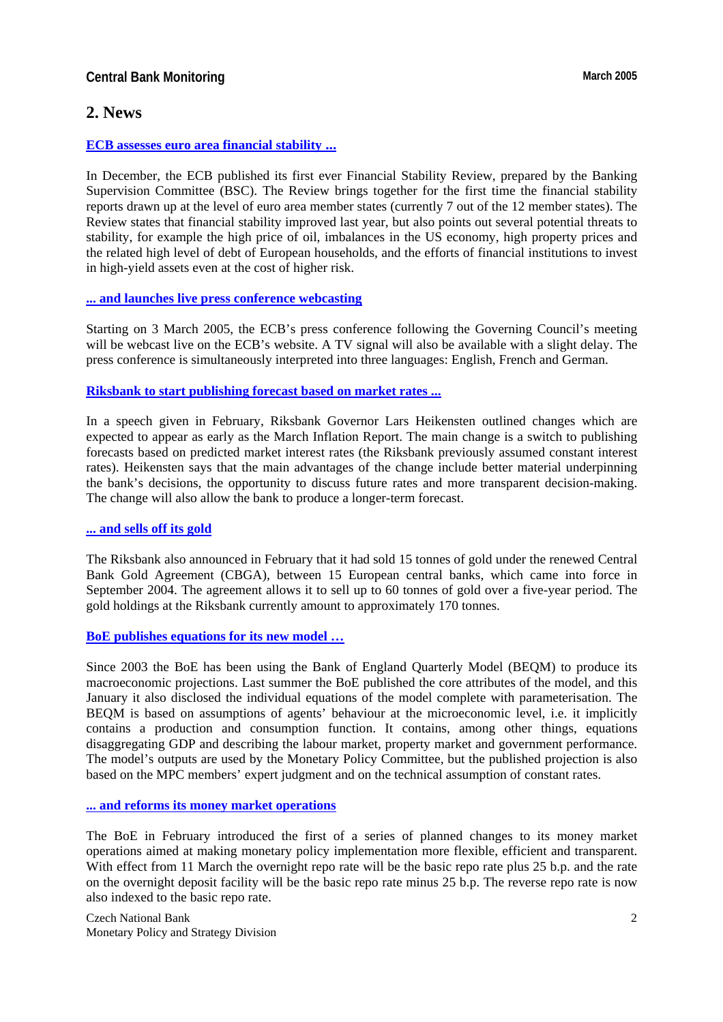# **Central Bank Monitoring March 2005 March 2005**

# **2. News**

#### **[ECB assesses euro area financial stability ...](http://www.ecb.int/press/key/date/2004/html/sp041215.en.html)**

In December, the ECB published its first ever Financial Stability Review, prepared by the Banking Supervision Committee (BSC). The Review brings together for the first time the financial stability reports drawn up at the level of euro area member states (currently 7 out of the 12 member states). The Review states that financial stability improved last year, but also points out several potential threats to stability, for example the high price of oil, imbalances in the US economy, high property prices and the related high level of debt of European households, and the efforts of financial institutions to invest in high-yield assets even at the cost of higher risk.

### **[... and launches live press conference webcasting](http://www.ecb.int/press/pr/date/2005/html/pr050303_1.en.html)**

Starting on 3 March 2005, the ECB's press conference following the Governing Council's meeting will be webcast live on the ECB's website. A TV signal will also be available with a slight delay. The press conference is simultaneously interpreted into three languages: English, French and German.

### **[Riksbank to start publishing forecast based on market rates ...](http://www.riksbank.com/templates/Page.aspx?id=15784)**

In a speech given in February, Riksbank Governor Lars Heikensten outlined changes which are expected to appear as early as the March Inflation Report. The main change is a switch to publishing forecasts based on predicted market interest rates (the Riksbank previously assumed constant interest rates). Heikensten says that the main advantages of the change include better material underpinning the bank's decisions, the opportunity to discuss future rates and more transparent decision-making. The change will also allow the bank to produce a longer-term forecast.

#### **[... and sells off its gold](http://www.riksbank.com/templates/Page.aspx?id=15453)**

The Riksbank also announced in February that it had sold 15 tonnes of gold under the renewed Central Bank Gold Agreement (CBGA), between 15 European central banks, which came into force in September 2004. The agreement allows it to sell up to 60 tonnes of gold over a five-year period. The gold holdings at the Riksbank currently amount to approximately 170 tonnes.

#### **[BoE publishes equations for its new model …](http://www.bankofengland.co.uk/publications/beqm/beqmfull.pdf)**

Since 2003 the BoE has been using the Bank of England Quarterly Model (BEQM) to produce its macroeconomic projections. Last summer the BoE published the core attributes of the model, and this January it also disclosed the individual equations of the model complete with parameterisation. The BEQM is based on assumptions of agents' behaviour at the microeconomic level, i.e. it implicitly contains a production and consumption function. It contains, among other things, equations disaggregating GDP and describing the labour market, property market and government performance. The model's outputs are used by the Monetary Policy Committee, but the published projection is also based on the MPC members' expert judgment and on the technical assumption of constant rates.

#### **[... and reforms its money market operations](http://www.bankofengland.co.uk/pressreleases/2005/014.htm)**

The BoE in February introduced the first of a series of planned changes to its money market operations aimed at making monetary policy implementation more flexible, efficient and transparent. With effect from 11 March the overnight repo rate will be the basic repo rate plus 25 b.p. and the rate on the overnight deposit facility will be the basic repo rate minus 25 b.p. The reverse repo rate is now also indexed to the basic repo rate.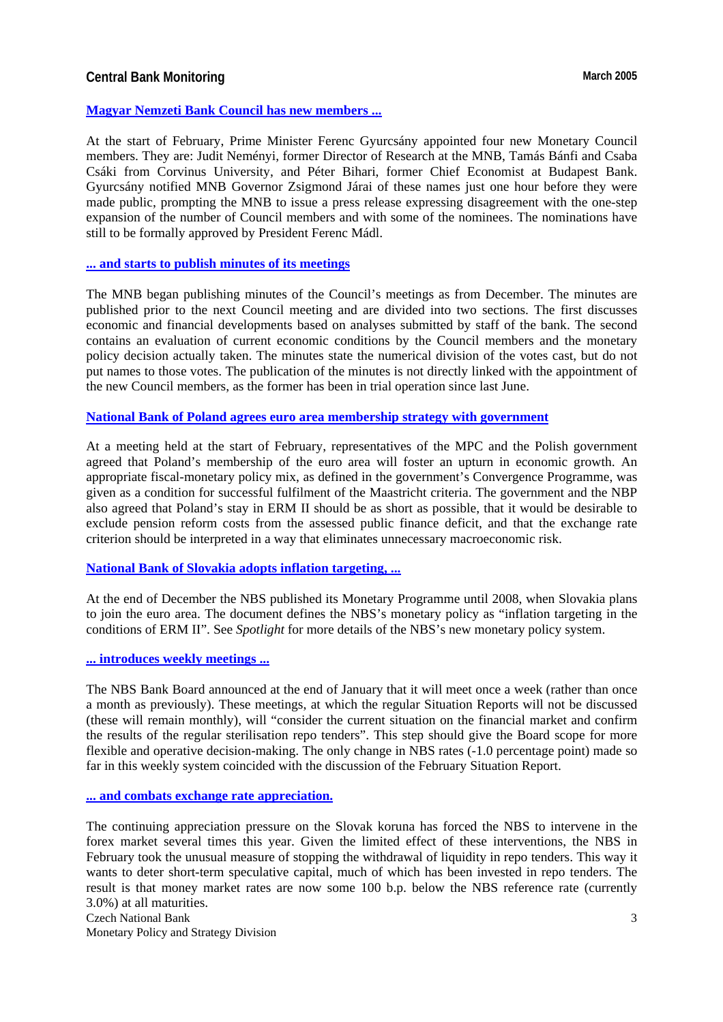## **Central Bank Monitoring March 2005 March 2005**

#### **[Magyar Nemzeti Bank Council has new members ...](http://english.mnb.hu/Engine.aspx?page=mnben_sajtokozlemenyek&ContentID=6536)**

At the start of February, Prime Minister Ferenc Gyurcsány appointed four new Monetary Council members. They are: Judit Neményi, former Director of Research at the MNB, Tamás Bánfi and Csaba Csáki from Corvinus University, and Péter Bihari, former Chief Economist at Budapest Bank. Gyurcsány notified MNB Governor Zsigmond Járai of these names just one hour before they were made public, prompting the MNB to issue a press release expressing disagreement with the one-step expansion of the number of Council members and with some of the nominees. The nominations have still to be formally approved by President Ferenc Mádl.

#### **[... and starts to publish minutes of its meetings](http://english.mnb.hu/Engine.aspx?page=mnben_monet_kozlem&ContentID=6404)**

The MNB began publishing minutes of the Council's meetings as from December. The minutes are published prior to the next Council meeting and are divided into two sections. The first discusses economic and financial developments based on analyses submitted by staff of the bank. The second contains an evaluation of current economic conditions by the Council members and the monetary policy decision actually taken. The minutes state the numerical division of the votes cast, but do not put names to those votes. The publication of the minutes is not directly linked with the appointment of the new Council members, as the former has been in trial operation since last June.

#### **[National Bank of Poland agrees euro area membership strategy with government](http://www.nbp.pl/Homen.aspx?f=/en/aktualnosci/2005/rmnbp_en.html)**

At a meeting held at the start of February, representatives of the MPC and the Polish government agreed that Poland's membership of the euro area will foster an upturn in economic growth. An appropriate fiscal-monetary policy mix, as defined in the government's Convergence Programme, was given as a condition for successful fulfilment of the Maastricht criteria. The government and the NBP also agreed that Poland's stay in ERM II should be as short as possible, that it would be desirable to exclude pension reform costs from the assessed public finance deficit, and that the exchange rate criterion should be interpreted in a way that eliminates unnecessary macroeconomic risk.

#### **[National Bank of Slovakia adopts inflation targeting, ...](http://www.nbs.sk/MPOL/MPROG/2008A.PDF)**

At the end of December the NBS published its Monetary Programme until 2008, when Slovakia plans to join the euro area. The document defines the NBS's monetary policy as "inflation targeting in the conditions of ERM II". See *Spotlight* for more details of the NBS's new monetary policy system.

### **[... introduces weekly meetings ...](http://www.nbs.sk/PRESS/BB280105.HTM)**

The NBS Bank Board announced at the end of January that it will meet once a week (rather than once a month as previously). These meetings, at which the regular Situation Reports will not be discussed (these will remain monthly), will "consider the current situation on the financial market and confirm the results of the regular sterilisation repo tenders". This step should give the Board scope for more flexible and operative decision-making. The only change in NBS rates (-1.0 percentage point) made so far in this weekly system coincided with the discussion of the February Situation Report.

**[... and combats exchange rate appreciation.](http://www.nbs.sk/PRESS/BB080205.HTM)**

The continuing appreciation pressure on the Slovak koruna has forced the NBS to intervene in the forex market several times this year. Given the limited effect of these interventions, the NBS in February took the unusual measure of stopping the withdrawal of liquidity in repo tenders. This way it wants to deter short-term speculative capital, much of which has been invested in repo tenders. The result is that money market rates are now some 100 b.p. below the NBS reference rate (currently 3.0%) at all maturities.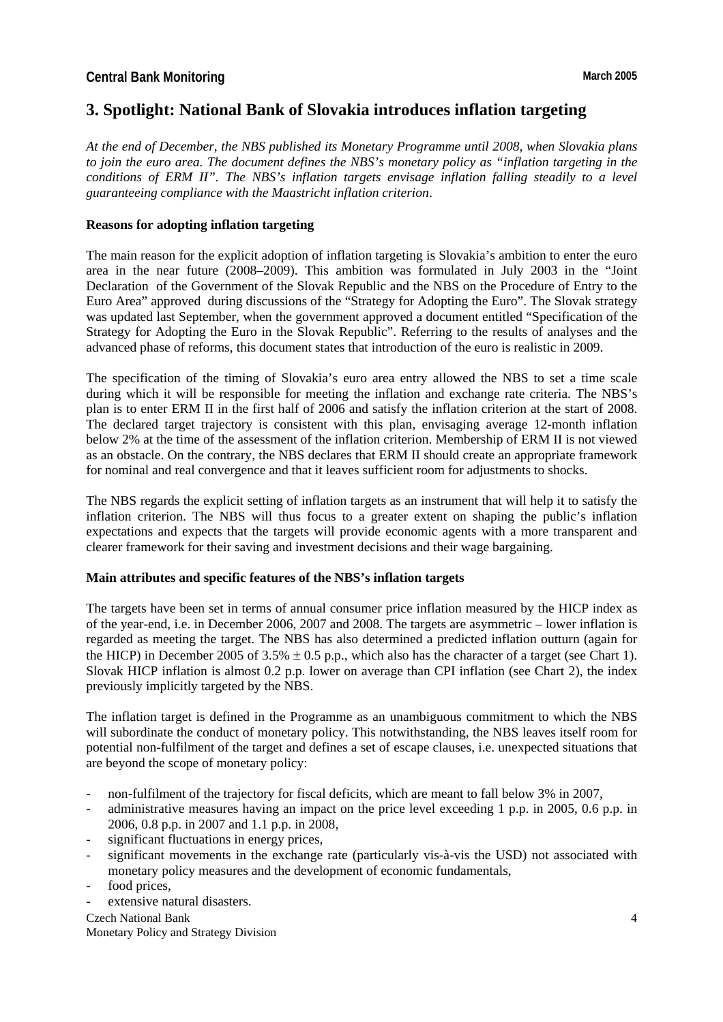# **3. Spotlight: National Bank of Slovakia introduces inflation targeting**

*At the end of December, the NBS published its Monetary Programme until 2008, when Slovakia plans to join the euro area. The document defines the NBS's monetary policy as "inflation targeting in the conditions of ERM II". The NBS's inflation targets envisage inflation falling steadily to a level guaranteeing compliance with the Maastricht inflation criterion*.

### **Reasons for adopting inflation targeting**

The main reason for the explicit adoption of inflation targeting is Slovakia's ambition to enter the euro area in the near future (2008–2009). This ambition was formulated in July 2003 in the "Joint Declaration of the Government of the Slovak Republic and the NBS on the Procedure of Entry to the Euro Area" approved during discussions of the "Strategy for Adopting the Euro". The Slovak strategy was updated last September, when the government approved a document entitled "Specification of the Strategy for Adopting the Euro in the Slovak Republic". Referring to the results of analyses and the advanced phase of reforms, this document states that introduction of the euro is realistic in 2009.

The specification of the timing of Slovakia's euro area entry allowed the NBS to set a time scale during which it will be responsible for meeting the inflation and exchange rate criteria. The NBS's plan is to enter ERM II in the first half of 2006 and satisfy the inflation criterion at the start of 2008. The declared target trajectory is consistent with this plan, envisaging average 12-month inflation below 2% at the time of the assessment of the inflation criterion. Membership of ERM II is not viewed as an obstacle. On the contrary, the NBS declares that ERM II should create an appropriate framework for nominal and real convergence and that it leaves sufficient room for adjustments to shocks.

The NBS regards the explicit setting of inflation targets as an instrument that will help it to satisfy the inflation criterion. The NBS will thus focus to a greater extent on shaping the public's inflation expectations and expects that the targets will provide economic agents with a more transparent and clearer framework for their saving and investment decisions and their wage bargaining.

### **Main attributes and specific features of the NBS's inflation targets**

The targets have been set in terms of annual consumer price inflation measured by the HICP index as of the year-end, i.e. in December 2006, 2007 and 2008. The targets are asymmetric – lower inflation is regarded as meeting the target. The NBS has also determined a predicted inflation outturn (again for the HICP) in December 2005 of 3.5%  $\pm$  0.5 p.p., which also has the character of a target (see Chart 1). Slovak HICP inflation is almost 0.2 p.p. lower on average than CPI inflation (see Chart 2), the index previously implicitly targeted by the NBS.

The inflation target is defined in the Programme as an unambiguous commitment to which the NBS will subordinate the conduct of monetary policy. This notwithstanding, the NBS leaves itself room for potential non-fulfilment of the target and defines a set of escape clauses, i.e. unexpected situations that are beyond the scope of monetary policy:

- non-fulfilment of the trajectory for fiscal deficits, which are meant to fall below 3% in 2007,
- administrative measures having an impact on the price level exceeding 1 p.p. in 2005, 0.6 p.p. in 2006, 0.8 p.p. in 2007 and 1.1 p.p. in 2008,
- significant fluctuations in energy prices,
- significant movements in the exchange rate (particularly vis-à-vis the USD) not associated with monetary policy measures and the development of economic fundamentals,
- food prices.
- extensive natural disasters.

Czech National Bank Monetary Policy and Strategy Division